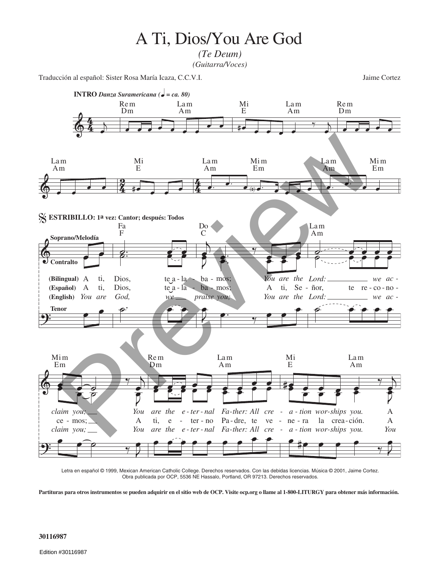## A Ti, Dios/You Are God

*(Te Deum) (Guitarra/Voces)*

Traducción al español: Sister Rosa María Icaza, C.C.V.I. Jaime Cortez



Letra en español © 1999, Mexican American Catholic College. Derechos reservados. Con las debidas licencias. Música © 2001, Jaime Cortez. Obra publicada por OCP, 5536 NE Hassalo, Portland, OR 97213. Derechos reservados.

**Partituras para otros instrumentos se pueden adquirir en el sitio web de OCP. Visite ocp.org o llame al 1-800-LITURGY para obtener más información.**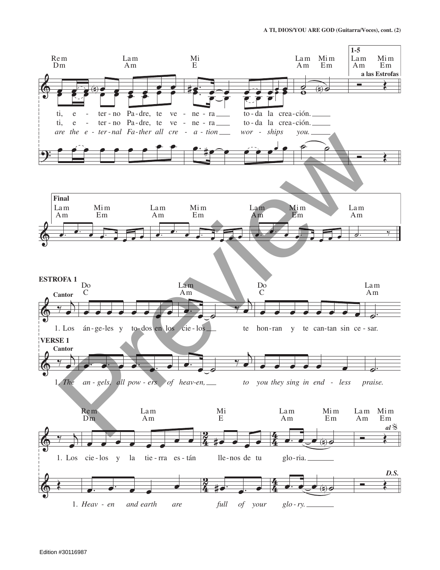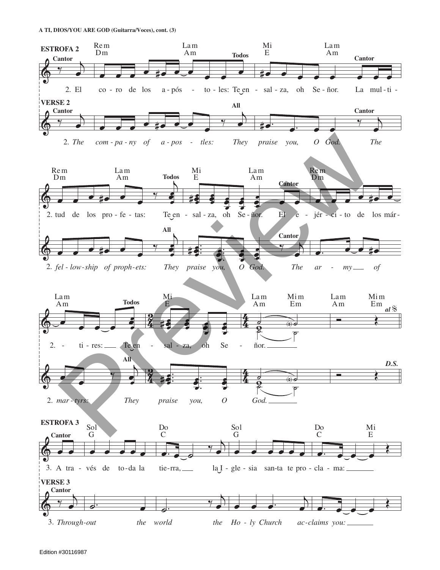A TI, DIOS/YOU ARE GOD (Guitarra/Voces), cont. (3)

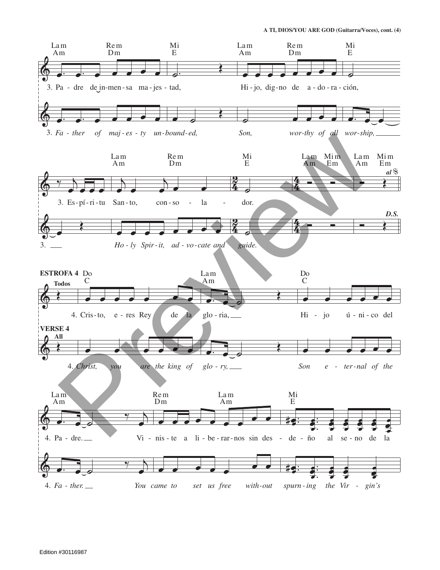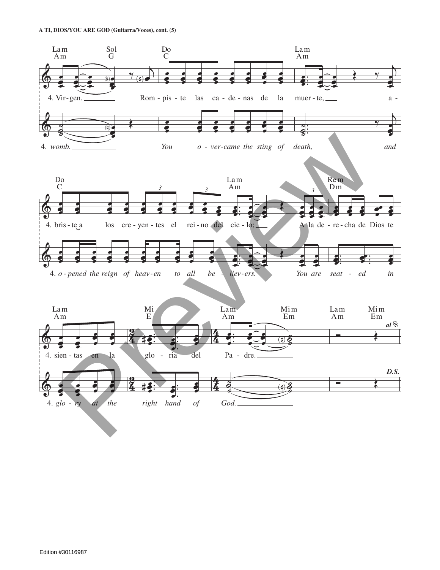